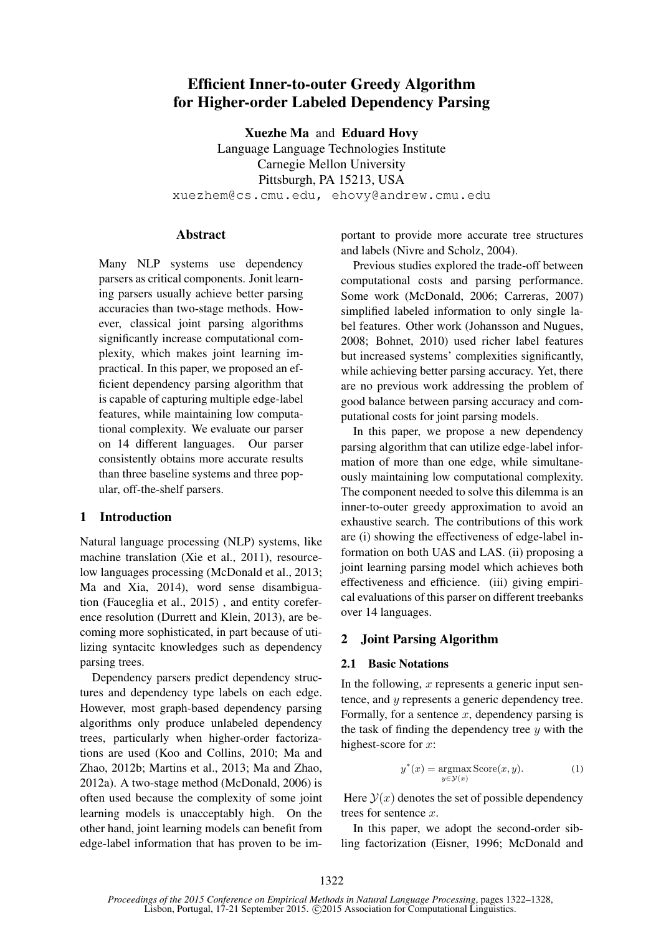# Efficient Inner-to-outer Greedy Algorithm for Higher-order Labeled Dependency Parsing

Xuezhe Ma and Eduard Hovy

Language Language Technologies Institute Carnegie Mellon University Pittsburgh, PA 15213, USA xuezhem@cs.cmu.edu, ehovy@andrew.cmu.edu

## **Abstract**

Many NLP systems use dependency parsers as critical components. Jonit learning parsers usually achieve better parsing accuracies than two-stage methods. However, classical joint parsing algorithms significantly increase computational complexity, which makes joint learning impractical. In this paper, we proposed an efficient dependency parsing algorithm that is capable of capturing multiple edge-label features, while maintaining low computational complexity. We evaluate our parser on 14 different languages. Our parser consistently obtains more accurate results than three baseline systems and three popular, off-the-shelf parsers.

# 1 Introduction

Natural language processing (NLP) systems, like machine translation (Xie et al., 2011), resourcelow languages processing (McDonald et al., 2013; Ma and Xia, 2014), word sense disambiguation (Fauceglia et al., 2015) , and entity coreference resolution (Durrett and Klein, 2013), are becoming more sophisticated, in part because of utilizing syntacitc knowledges such as dependency parsing trees.

Dependency parsers predict dependency structures and dependency type labels on each edge. However, most graph-based dependency parsing algorithms only produce unlabeled dependency trees, particularly when higher-order factorizations are used (Koo and Collins, 2010; Ma and Zhao, 2012b; Martins et al., 2013; Ma and Zhao, 2012a). A two-stage method (McDonald, 2006) is often used because the complexity of some joint learning models is unacceptably high. On the other hand, joint learning models can benefit from edge-label information that has proven to be important to provide more accurate tree structures and labels (Nivre and Scholz, 2004).

Previous studies explored the trade-off between computational costs and parsing performance. Some work (McDonald, 2006; Carreras, 2007) simplified labeled information to only single label features. Other work (Johansson and Nugues, 2008; Bohnet, 2010) used richer label features but increased systems' complexities significantly, while achieving better parsing accuracy. Yet, there are no previous work addressing the problem of good balance between parsing accuracy and computational costs for joint parsing models.

In this paper, we propose a new dependency parsing algorithm that can utilize edge-label information of more than one edge, while simultaneously maintaining low computational complexity. The component needed to solve this dilemma is an inner-to-outer greedy approximation to avoid an exhaustive search. The contributions of this work are (i) showing the effectiveness of edge-label information on both UAS and LAS. (ii) proposing a joint learning parsing model which achieves both effectiveness and efficience. (iii) giving empirical evaluations of this parser on different treebanks over 14 languages.

# 2 Joint Parsing Algorithm

## 2.1 Basic Notations

In the following,  $x$  represents a generic input sentence, and y represents a generic dependency tree. Formally, for a sentence  $x$ , dependency parsing is the task of finding the dependency tree  $y$  with the highest-score for  $x$ :

$$
y^*(x) = \underset{y \in \mathcal{Y}(x)}{\operatorname{argmax}} \operatorname{Score}(x, y). \tag{1}
$$

Here  $\mathcal{Y}(x)$  denotes the set of possible dependency trees for sentence x.

In this paper, we adopt the second-order sibling factorization (Eisner, 1996; McDonald and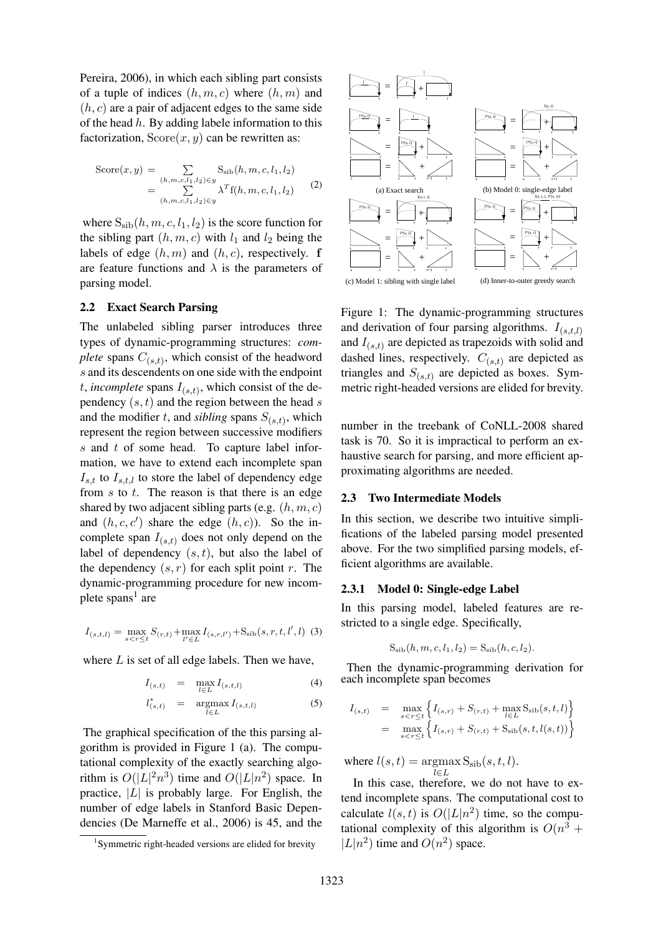Pereira, 2006), in which each sibling part consists of a tuple of indices  $(h, m, c)$  where  $(h, m)$  and  $(h, c)$  are a pair of adjacent edges to the same side of the head  $h$ . By adding labele information to this factorization,  $Score(x, y)$  can be rewritten as:

$$
Score(x, y) = \sum_{(h,m,c,l_1,l_2) \in y} S_{\text{sib}}(h, m, c, l_1, l_2)
$$
  
= 
$$
\sum_{(h,m,c,l_1,l_2) \in y} \lambda^T f(h, m, c, l_1, l_2)
$$
 (2)

where  $S_{\rm sib}(h, m, c, l_1, l_2)$  is the score function for the sibling part  $(h, m, c)$  with  $l_1$  and  $l_2$  being the labels of edge  $(h, m)$  and  $(h, c)$ , respectively. f are feature functions and  $\lambda$  is the parameters of parsing model.

#### 2.2 Exact Search Parsing

The unlabeled sibling parser introduces three types of dynamic-programming structures: *complete* spans  $C_{(s,t)}$ , which consist of the headword s and its descendents on one side with the endpoint t, *incomplete* spans  $I_{(s,t)}$ , which consist of the dependency  $(s, t)$  and the region between the head s and the modifier t, and *sibling* spans  $S_{(s,t)}$ , which represent the region between successive modifiers s and t of some head. To capture label information, we have to extend each incomplete span  $I_{s,t}$  to  $I_{s,t,l}$  to store the label of dependency edge from  $s$  to  $t$ . The reason is that there is an edge shared by two adjacent sibling parts (e.g.  $(h, m, c)$ ) and  $(h, c, c')$  share the edge  $(h, c)$ ). So the incomplete span  $I_{(s,t)}$  does not only depend on the label of dependency  $(s, t)$ , but also the label of the dependency  $(s, r)$  for each split point r. The dynamic-programming procedure for new incomplete spans<sup>1</sup> are

$$
I_{(s,t,l)} = \max_{s < r \le t} S_{(r,t)} + \max_{l' \in L} I_{(s,r,l')} + S_{\rm sib}(s,r,t,l',l) (3)
$$

where  $L$  is set of all edge labels. Then we have,

$$
I_{(s,t)} = \max_{l \in L} I_{(s,t,l)} \tag{4}
$$

$$
l_{(s,t)}^* = \underset{l \in L}{\operatorname{argmax}} I_{(s,t,l)} \tag{5}
$$

The graphical specification of the this parsing algorithm is provided in Figure 1 (a). The computational complexity of the exactly searching algorithm is  $O(|L|^2 n^3)$  time and  $O(|L|n^2)$  space. In practice,  $|L|$  is probably large. For English, the number of edge labels in Stanford Basic Dependencies (De Marneffe et al., 2006) is 45, and the



Figure 1: The dynamic-programming structures and derivation of four parsing algorithms.  $I_{(s,t,l)}$ and  $I_{(s,t)}$  are depicted as trapezoids with solid and dashed lines, respectively.  $C_{(s,t)}$  are depicted as triangles and  $S_{(s,t)}$  are depicted as boxes. Symmetric right-headed versions are elided for brevity.

number in the treebank of CoNLL-2008 shared task is 70. So it is impractical to perform an exhaustive search for parsing, and more efficient approximating algorithms are needed.

#### 2.3 Two Intermediate Models

In this section, we describe two intuitive simplifications of the labeled parsing model presented above. For the two simplified parsing models, efficient algorithms are available.

#### 2.3.1 Model 0: Single-edge Label

In this parsing model, labeled features are restricted to a single edge. Specifically,

$$
S_{\rm sib}(h, m, c, l_1, l_2) = S_{\rm sib}(h, c, l_2).
$$

Then the dynamic-programming derivation for each incomplete span becomes

$$
I_{(s,t)} = \max_{s < r \le t} \left\{ I_{(s,r)} + S_{(r,t)} + \max_{l \in L} S_{\rm sib}(s,t,l) \right\}
$$
  
= 
$$
\max_{s < r \le t} \left\{ I_{(s,r)} + S_{(r,t)} + S_{\rm sib}(s,t,l(s,t)) \right\}
$$

where  $l(s,t) = \text{argmax} S_{\text{sib}}(s, t, l)$ . l∈L

In this case, therefore, we do not have to extend incomplete spans. The computational cost to calculate  $l(s,t)$  is  $O(|L|n^2)$  time, so the computational complexity of this algorithm is  $O(n^3 +$  $|L|n^2$ ) time and  $O(n^2)$  space.

<sup>1</sup> Symmetric right-headed versions are elided for brevity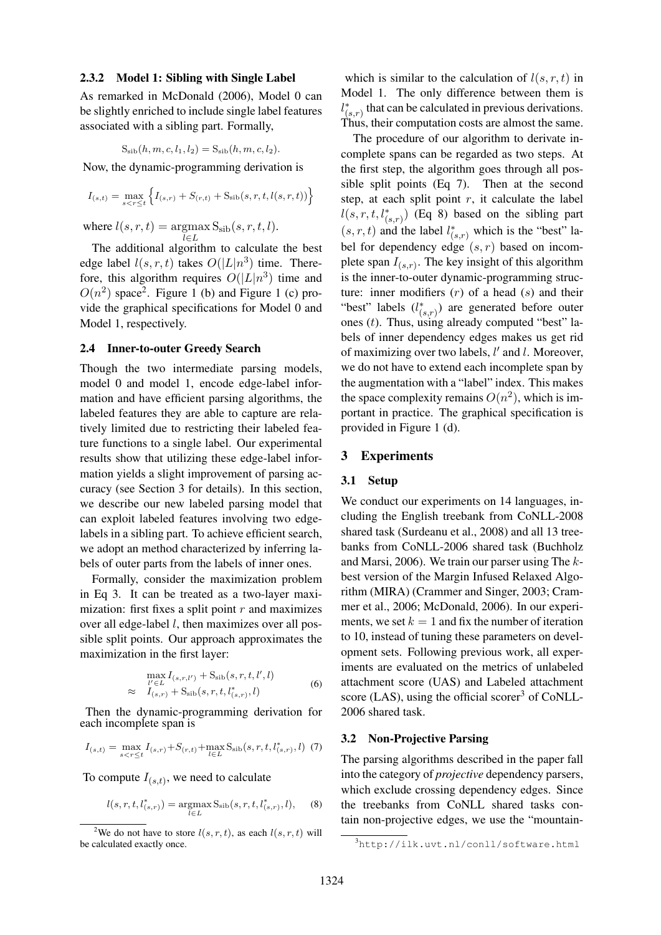#### 2.3.2 Model 1: Sibling with Single Label

As remarked in McDonald (2006), Model 0 can be slightly enriched to include single label features associated with a sibling part. Formally,

$$
S_{\rm sib}(h, m, c, l_1, l_2) = S_{\rm sib}(h, m, c, l_2).
$$

Now, the dynamic-programming derivation is

$$
I_{(s,t)} = \max_{s < r \le t} \left\{ I_{(s,r)} + S_{(r,t)} + S_{\rm sib}(s,r,t,l(s,r,t)) \right\}
$$

where  $l(s, r, t) = \text{argmax}$  $S_{\rm sib}(s,r,t,l).$ 

l∈L The additional algorithm to calculate the best edge label  $l(s, r, t)$  takes  $O(|L|n^3)$  time. Therefore, this algorithm requires  $O(|L|n^3)$  time and  $O(n^2)$  space<sup>2</sup>. Figure 1 (b) and Figure 1 (c) provide the graphical specifications for Model 0 and Model 1, respectively.

#### 2.4 Inner-to-outer Greedy Search

Though the two intermediate parsing models, model 0 and model 1, encode edge-label information and have efficient parsing algorithms, the labeled features they are able to capture are relatively limited due to restricting their labeled feature functions to a single label. Our experimental results show that utilizing these edge-label information yields a slight improvement of parsing accuracy (see Section 3 for details). In this section, we describe our new labeled parsing model that can exploit labeled features involving two edgelabels in a sibling part. To achieve efficient search, we adopt an method characterized by inferring labels of outer parts from the labels of inner ones.

Formally, consider the maximization problem in Eq 3. It can be treated as a two-layer maximization: first fixes a split point  $r$  and maximizes over all edge-label  $l$ , then maximizes over all possible split points. Our approach approximates the maximization in the first layer:

$$
\max_{l' \in L} I_{(s,r,l')} + S_{\rm sib}(s,r,t,l',l) \n\approx I_{(s,r)} + S_{\rm sib}(s,r,t,l'_{(s,r)},l)
$$
\n(6)

Then the dynamic-programming derivation for each incomplete span is

$$
I_{(s,t)} = \max_{s < r \le t} I_{(s,r)} + S_{(r,t)} + \max_{l \in L} S_{\text{sib}}(s, r, t, l^*_{(s,r)}, l) \tag{7}
$$

To compute  $I_{(s,t)}$ , we need to calculate

$$
l(s, r, t, l_{(s,r)}^*) = \operatorname*{argmax}_{l \in L} S_{\text{sib}}(s, r, t, l_{(s,r)}^*, l), \quad (8)
$$

which is similar to the calculation of  $l(s, r, t)$  in Model 1. The only difference between them is  $l_{(s,r)}^*$  that can be calculated in previous derivations. Thus, their computation costs are almost the same.

The procedure of our algorithm to derivate incomplete spans can be regarded as two steps. At the first step, the algorithm goes through all possible split points (Eq 7). Then at the second step, at each split point  $r$ , it calculate the label  $l(s, r, t, l_{(s,r)}^*)$  (Eq 8) based on the sibling part  $(s, r, t)$  and the label  $l_{(s,r)}^*$  which is the "best" label for dependency edge  $(s, r)$  based on incomplete span  $I_{(s,r)}$ . The key insight of this algorithm is the inner-to-outer dynamic-programming structure: inner modifiers  $(r)$  of a head  $(s)$  and their "best" labels  $(l_{(s,r)}^*)$  are generated before outer ones  $(t)$ . Thus, using already computed "best" labels of inner dependency edges makes us get rid of maximizing over two labels,  $l'$  and  $l$ . Moreover, we do not have to extend each incomplete span by the augmentation with a "label" index. This makes the space complexity remains  $O(n^2)$ , which is important in practice. The graphical specification is provided in Figure 1 (d).

#### 3 Experiments

#### 3.1 Setup

We conduct our experiments on 14 languages, including the English treebank from CoNLL-2008 shared task (Surdeanu et al., 2008) and all 13 treebanks from CoNLL-2006 shared task (Buchholz and Marsi, 2006). We train our parser using The kbest version of the Margin Infused Relaxed Algorithm (MIRA) (Crammer and Singer, 2003; Crammer et al., 2006; McDonald, 2006). In our experiments, we set  $k = 1$  and fix the number of iteration to 10, instead of tuning these parameters on development sets. Following previous work, all experiments are evaluated on the metrics of unlabeled attachment score (UAS) and Labeled attachment score (LAS), using the official scorer<sup>3</sup> of CoNLL-2006 shared task.

## 3.2 Non-Projective Parsing

The parsing algorithms described in the paper fall into the category of *projective* dependency parsers, which exclude crossing dependency edges. Since the treebanks from CoNLL shared tasks contain non-projective edges, we use the "mountain-

<sup>&</sup>lt;sup>2</sup>We do not have to store  $l(s, r, t)$ , as each  $l(s, r, t)$  will be calculated exactly once.

<sup>3</sup>http://ilk.uvt.nl/conll/software.html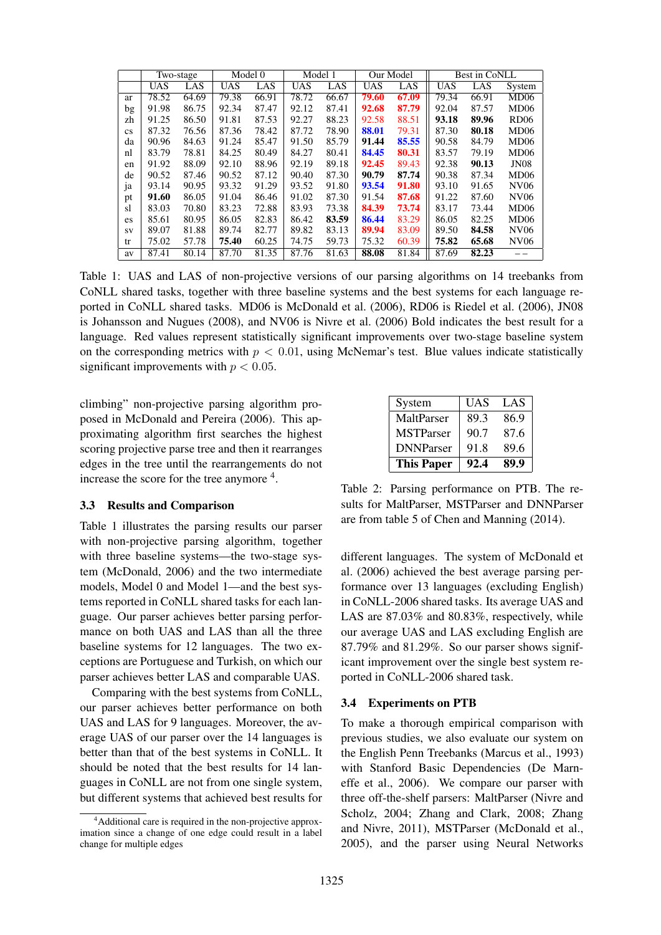|                        |            | Two-stage |            | Model 0 |            | Model 1 |            | Our Model |            | Best in CoNLL |                  |  |
|------------------------|------------|-----------|------------|---------|------------|---------|------------|-----------|------------|---------------|------------------|--|
|                        | <b>UAS</b> | LAS       | <b>UAS</b> | LAS     | <b>UAS</b> | LAS     | <b>UAS</b> | LAS       | <b>UAS</b> | LAS           | System           |  |
| ar                     | 78.52      | 64.69     | 79.38      | 66.91   | 78.72      | 66.67   | 79.60      | 67.09     | 79.34      | 66.91         | MD06             |  |
| bg                     | 91.98      | 86.75     | 92.34      | 87.47   | 92.12      | 87.41   | 92.68      | 87.79     | 92.04      | 87.57         | MD06             |  |
| zh                     | 91.25      | 86.50     | 91.81      | 87.53   | 92.27      | 88.23   | 92.58      | 88.51     | 93.18      | 89.96         | <b>RD06</b>      |  |
| $\mathbf{c}\mathbf{s}$ | 87.32      | 76.56     | 87.36      | 78.42   | 87.72      | 78.90   | 88.01      | 79.31     | 87.30      | 80.18         | MD06             |  |
| da                     | 90.96      | 84.63     | 91.24      | 85.47   | 91.50      | 85.79   | 91.44      | 85.55     | 90.58      | 84.79         | MD06             |  |
| nl                     | 83.79      | 78.81     | 84.25      | 80.49   | 84.27      | 80.41   | 84.45      | 80.31     | 83.57      | 79.19         | MD <sub>06</sub> |  |
| en                     | 91.92      | 88.09     | 92.10      | 88.96   | 92.19      | 89.18   | 92.45      | 89.43     | 92.38      | 90.13         | <b>JN08</b>      |  |
| de                     | 90.52      | 87.46     | 90.52      | 87.12   | 90.40      | 87.30   | 90.79      | 87.74     | 90.38      | 87.34         | MD06             |  |
| 1a                     | 93.14      | 90.95     | 93.32      | 91.29   | 93.52      | 91.80   | 93.54      | 91.80     | 93.10      | 91.65         | <b>NV06</b>      |  |
| pt                     | 91.60      | 86.05     | 91.04      | 86.46   | 91.02      | 87.30   | 91.54      | 87.68     | 91.22      | 87.60         | NV <sub>06</sub> |  |
| sl                     | 83.03      | 70.80     | 83.23      | 72.88   | 83.93      | 73.38   | 84.39      | 73.74     | 83.17      | 73.44         | MD06             |  |
| es                     | 85.61      | 80.95     | 86.05      | 82.83   | 86.42      | 83.59   | 86.44      | 83.29     | 86.05      | 82.25         | MD06             |  |
| SV                     | 89.07      | 81.88     | 89.74      | 82.77   | 89.82      | 83.13   | 89.94      | 83.09     | 89.50      | 84.58         | <b>NV06</b>      |  |
| tr                     | 75.02      | 57.78     | 75.40      | 60.25   | 74.75      | 59.73   | 75.32      | 60.39     | 75.82      | 65.68         | NV <sub>06</sub> |  |
| av                     | 87.41      | 80.14     | 87.70      | 81.35   | 87.76      | 81.63   | 88.08      | 81.84     | 87.69      | 82.23         |                  |  |

Table 1: UAS and LAS of non-projective versions of our parsing algorithms on 14 treebanks from CoNLL shared tasks, together with three baseline systems and the best systems for each language reported in CoNLL shared tasks. MD06 is McDonald et al. (2006), RD06 is Riedel et al. (2006), JN08 is Johansson and Nugues (2008), and NV06 is Nivre et al. (2006) Bold indicates the best result for a language. Red values represent statistically significant improvements over two-stage baseline system on the corresponding metrics with  $p < 0.01$ , using McNemar's test. Blue values indicate statistically significant improvements with  $p < 0.05$ .

climbing" non-projective parsing algorithm proposed in McDonald and Pereira (2006). This approximating algorithm first searches the highest scoring projective parse tree and then it rearranges edges in the tree until the rearrangements do not increase the score for the tree anymore <sup>4</sup>.

# 3.3 Results and Comparison

Table 1 illustrates the parsing results our parser with non-projective parsing algorithm, together with three baseline systems—the two-stage system (McDonald, 2006) and the two intermediate models, Model 0 and Model 1—and the best systems reported in CoNLL shared tasks for each language. Our parser achieves better parsing performance on both UAS and LAS than all the three baseline systems for 12 languages. The two exceptions are Portuguese and Turkish, on which our parser achieves better LAS and comparable UAS.

Comparing with the best systems from CoNLL, our parser achieves better performance on both UAS and LAS for 9 languages. Moreover, the average UAS of our parser over the 14 languages is better than that of the best systems in CoNLL. It should be noted that the best results for 14 languages in CoNLL are not from one single system, but different systems that achieved best results for

| System            | UAS  | LAS  |
|-------------------|------|------|
| MaltParser        | 89.3 | 86.9 |
| <b>MSTParser</b>  | 90.7 | 87.6 |
| <b>DNNParser</b>  | 91.8 | 89.6 |
| <b>This Paper</b> | 92.4 | 89.9 |

Table 2: Parsing performance on PTB. The results for MaltParser, MSTParser and DNNParser are from table 5 of Chen and Manning (2014).

different languages. The system of McDonald et al. (2006) achieved the best average parsing performance over 13 languages (excluding English) in CoNLL-2006 shared tasks. Its average UAS and LAS are 87.03% and 80.83%, respectively, while our average UAS and LAS excluding English are 87.79% and 81.29%. So our parser shows significant improvement over the single best system reported in CoNLL-2006 shared task.

## 3.4 Experiments on PTB

To make a thorough empirical comparison with previous studies, we also evaluate our system on the English Penn Treebanks (Marcus et al., 1993) with Stanford Basic Dependencies (De Marneffe et al., 2006). We compare our parser with three off-the-shelf parsers: MaltParser (Nivre and Scholz, 2004; Zhang and Clark, 2008; Zhang and Nivre, 2011), MSTParser (McDonald et al., 2005), and the parser using Neural Networks

<sup>&</sup>lt;sup>4</sup>Additional care is required in the non-projective approximation since a change of one edge could result in a label change for multiple edges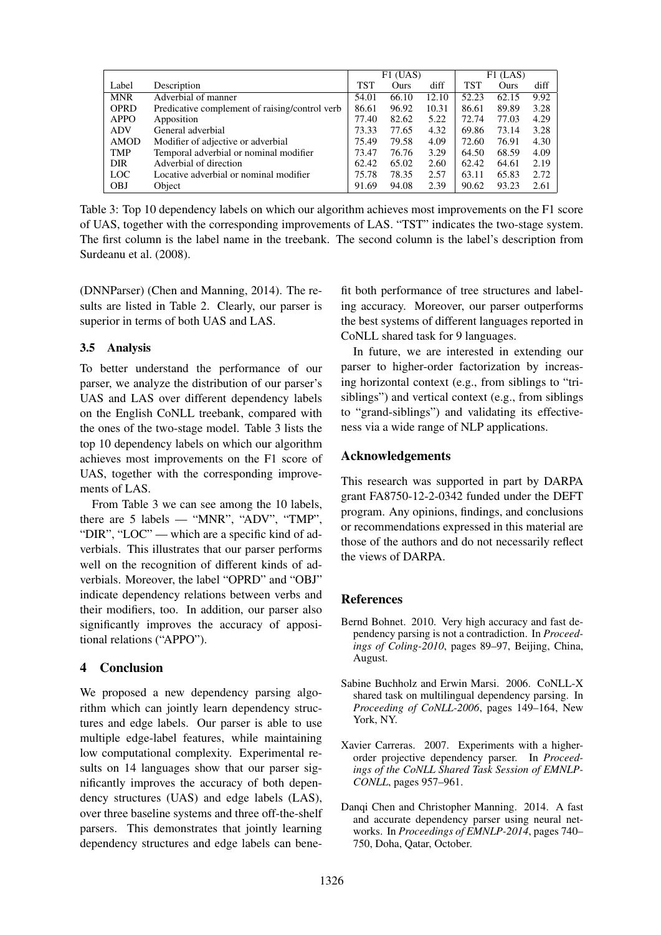|             |                                                | $F1$ (UAS) |       | $F1$ (LAS) |            |       |      |
|-------------|------------------------------------------------|------------|-------|------------|------------|-------|------|
| Label       | Description                                    | TST        | Ours  | diff       | <b>TST</b> | Ours  | diff |
| <b>MNR</b>  | Adverbial of manner                            | 54.01      | 66.10 | 12.10      | 52.23      | 62.15 | 9.92 |
| <b>OPRD</b> | Predicative complement of raising/control verb | 86.61      | 96.92 | 10.31      | 86.61      | 89.89 | 3.28 |
| <b>APPO</b> | Apposition                                     | 77.40      | 82.62 | 5.22       | 72.74      | 77.03 | 4.29 |
| <b>ADV</b>  | General adverbial                              | 73.33      | 77.65 | 4.32       | 69.86      | 73.14 | 3.28 |
| AMOD        | Modifier of adjective or adverbial             | 75.49      | 79.58 | 4.09       | 72.60      | 76.91 | 4.30 |
| <b>TMP</b>  | Temporal adverbial or nominal modifier         | 73.47      | 76.76 | 3.29       | 64.50      | 68.59 | 4.09 |
| <b>DIR</b>  | Adverbial of direction                         | 62.42      | 65.02 | 2.60       | 62.42      | 64.61 | 2.19 |
| <b>LOC</b>  | Locative adverbial or nominal modifier         | 75.78      | 78.35 | 2.57       | 63.11      | 65.83 | 2.72 |
| <b>OBJ</b>  | Object                                         | 91.69      | 94.08 | 2.39       | 90.62      | 93.23 | 2.61 |

Table 3: Top 10 dependency labels on which our algorithm achieves most improvements on the F1 score of UAS, together with the corresponding improvements of LAS. "TST" indicates the two-stage system. The first column is the label name in the treebank. The second column is the label's description from Surdeanu et al. (2008).

(DNNParser) (Chen and Manning, 2014). The results are listed in Table 2. Clearly, our parser is superior in terms of both UAS and LAS.

# 3.5 Analysis

To better understand the performance of our parser, we analyze the distribution of our parser's UAS and LAS over different dependency labels on the English CoNLL treebank, compared with the ones of the two-stage model. Table 3 lists the top 10 dependency labels on which our algorithm achieves most improvements on the F1 score of UAS, together with the corresponding improvements of LAS.

From Table 3 we can see among the 10 labels, there are 5 labels — "MNR", "ADV", "TMP", "DIR", "LOC" — which are a specific kind of adverbials. This illustrates that our parser performs well on the recognition of different kinds of adverbials. Moreover, the label "OPRD" and "OBJ" indicate dependency relations between verbs and their modifiers, too. In addition, our parser also significantly improves the accuracy of appositional relations ("APPO").

## 4 Conclusion

We proposed a new dependency parsing algorithm which can jointly learn dependency structures and edge labels. Our parser is able to use multiple edge-label features, while maintaining low computational complexity. Experimental results on 14 languages show that our parser significantly improves the accuracy of both dependency structures (UAS) and edge labels (LAS), over three baseline systems and three off-the-shelf parsers. This demonstrates that jointly learning dependency structures and edge labels can bene-

fit both performance of tree structures and labeling accuracy. Moreover, our parser outperforms the best systems of different languages reported in CoNLL shared task for 9 languages.

In future, we are interested in extending our parser to higher-order factorization by increasing horizontal context (e.g., from siblings to "trisiblings") and vertical context (e.g., from siblings to "grand-siblings") and validating its effectiveness via a wide range of NLP applications.

# Acknowledgements

This research was supported in part by DARPA grant FA8750-12-2-0342 funded under the DEFT program. Any opinions, findings, and conclusions or recommendations expressed in this material are those of the authors and do not necessarily reflect the views of DARPA.

# References

- Bernd Bohnet. 2010. Very high accuracy and fast dependency parsing is not a contradiction. In *Proceedings of Coling-2010*, pages 89–97, Beijing, China, August.
- Sabine Buchholz and Erwin Marsi. 2006. CoNLL-X shared task on multilingual dependency parsing. In *Proceeding of CoNLL-2006*, pages 149–164, New York, NY.
- Xavier Carreras. 2007. Experiments with a higherorder projective dependency parser. In *Proceedings of the CoNLL Shared Task Session of EMNLP-CONLL*, pages 957–961.
- Danqi Chen and Christopher Manning. 2014. A fast and accurate dependency parser using neural networks. In *Proceedings of EMNLP-2014*, pages 740– 750, Doha, Qatar, October.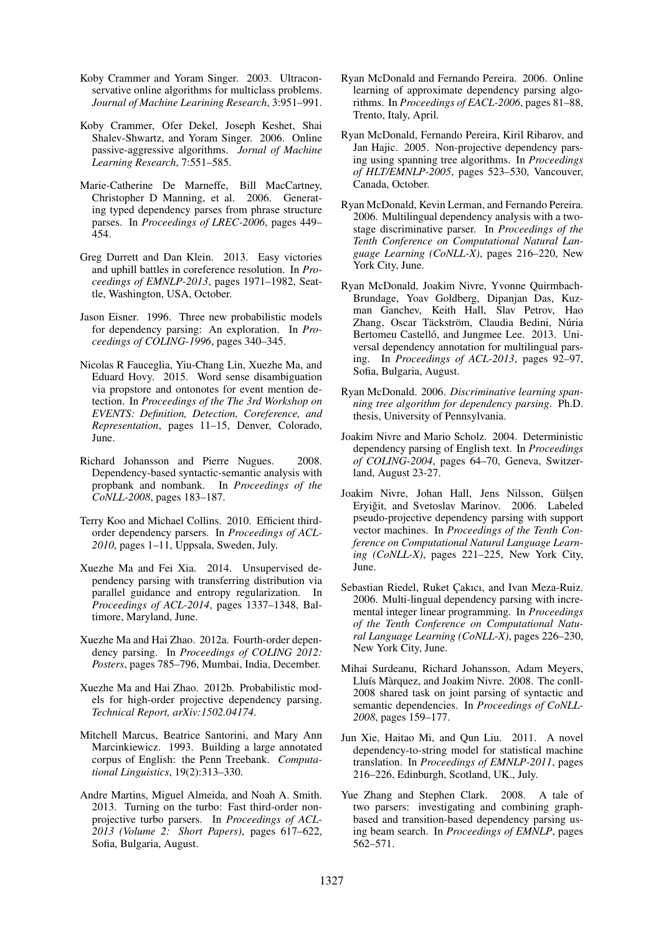- Koby Crammer and Yoram Singer. 2003. Ultraconservative online algorithms for multiclass problems. *Journal of Machine Learining Research*, 3:951–991.
- Koby Crammer, Ofer Dekel, Joseph Keshet, Shai Shalev-Shwartz, and Yoram Singer. 2006. Online passive-aggressive algorithms. *Jornal of Machine Learning Research*, 7:551–585.
- Marie-Catherine De Marneffe, Bill MacCartney, Christopher D Manning, et al. 2006. Generating typed dependency parses from phrase structure parses. In *Proceedings of LREC-2006*, pages 449– 454.
- Greg Durrett and Dan Klein. 2013. Easy victories and uphill battles in coreference resolution. In *Proceedings of EMNLP-2013*, pages 1971–1982, Seattle, Washington, USA, October.
- Jason Eisner. 1996. Three new probabilistic models for dependency parsing: An exploration. In *Proceedings of COLING-1996*, pages 340–345.
- Nicolas R Fauceglia, Yiu-Chang Lin, Xuezhe Ma, and Eduard Hovy. 2015. Word sense disambiguation via propstore and ontonotes for event mention detection. In *Proceedings of the The 3rd Workshop on EVENTS: Definition, Detection, Coreference, and Representation*, pages 11–15, Denver, Colorado, June.
- Richard Johansson and Pierre Nugues. 2008. Dependency-based syntactic-semantic analysis with propbank and nombank. In *Proceedings of the CoNLL-2008*, pages 183–187.
- Terry Koo and Michael Collins. 2010. Efficient thirdorder dependency parsers. In *Proceedings of ACL-2010*, pages 1–11, Uppsala, Sweden, July.
- Xuezhe Ma and Fei Xia. 2014. Unsupervised dependency parsing with transferring distribution via parallel guidance and entropy regularization. In *Proceedings of ACL-2014*, pages 1337–1348, Baltimore, Maryland, June.
- Xuezhe Ma and Hai Zhao. 2012a. Fourth-order dependency parsing. In *Proceedings of COLING 2012: Posters*, pages 785–796, Mumbai, India, December.
- Xuezhe Ma and Hai Zhao. 2012b. Probabilistic models for high-order projective dependency parsing. *Technical Report, arXiv:1502.04174*.
- Mitchell Marcus, Beatrice Santorini, and Mary Ann Marcinkiewicz. 1993. Building a large annotated corpus of English: the Penn Treebank. *Computational Linguistics*, 19(2):313–330.
- Andre Martins, Miguel Almeida, and Noah A. Smith. 2013. Turning on the turbo: Fast third-order nonprojective turbo parsers. In *Proceedings of ACL-2013 (Volume 2: Short Papers)*, pages 617–622, Sofia, Bulgaria, August.
- Ryan McDonald and Fernando Pereira. 2006. Online learning of approximate dependency parsing algorithms. In *Proceedings of EACL-2006*, pages 81–88, Trento, Italy, April.
- Ryan McDonald, Fernando Pereira, Kiril Ribarov, and Jan Hajic. 2005. Non-projective dependency parsing using spanning tree algorithms. In *Proceedings of HLT/EMNLP-2005*, pages 523–530, Vancouver, Canada, October.
- Ryan McDonald, Kevin Lerman, and Fernando Pereira. 2006. Multilingual dependency analysis with a twostage discriminative parser. In *Proceedings of the Tenth Conference on Computational Natural Language Learning (CoNLL-X)*, pages 216–220, New York City, June.
- Ryan McDonald, Joakim Nivre, Yvonne Quirmbach-Brundage, Yoav Goldberg, Dipanjan Das, Kuzman Ganchev, Keith Hall, Slav Petrov, Hao Zhang, Oscar Täckström, Claudia Bedini, Núria Bertomeu Castelló, and Jungmee Lee. 2013. Universal dependency annotation for multilingual parsing. In *Proceedings of ACL-2013*, pages 92–97, Sofia, Bulgaria, August.
- Ryan McDonald. 2006. *Discriminative learning spanning tree algorithm for dependency parsing*. Ph.D. thesis, University of Pennsylvania.
- Joakim Nivre and Mario Scholz. 2004. Deterministic dependency parsing of English text. In *Proceedings of COLING-2004*, pages 64–70, Geneva, Switzerland, August 23-27.
- Joakim Nivre, Johan Hall, Jens Nilsson, Gülşen Eryiğit, and Svetoslav Marinov. 2006. Labeled pseudo-projective dependency parsing with support vector machines. In *Proceedings of the Tenth Conference on Computational Natural Language Learning (CoNLL-X)*, pages 221–225, New York City, June.
- Sebastian Riedel, Ruket Çakıcı, and Ivan Meza-Ruiz. 2006. Multi-lingual dependency parsing with incremental integer linear programming. In *Proceedings of the Tenth Conference on Computational Natural Language Learning (CoNLL-X)*, pages 226–230, New York City, June.
- Mihai Surdeanu, Richard Johansson, Adam Meyers, Lluís Màrquez, and Joakim Nivre. 2008. The conll-2008 shared task on joint parsing of syntactic and semantic dependencies. In *Proceedings of CoNLL-2008*, pages 159–177.
- Jun Xie, Haitao Mi, and Qun Liu. 2011. A novel dependency-to-string model for statistical machine translation. In *Proceedings of EMNLP-2011*, pages 216–226, Edinburgh, Scotland, UK., July.
- Yue Zhang and Stephen Clark. 2008. A tale of two parsers: investigating and combining graphbased and transition-based dependency parsing using beam search. In *Proceedings of EMNLP*, pages 562–571.